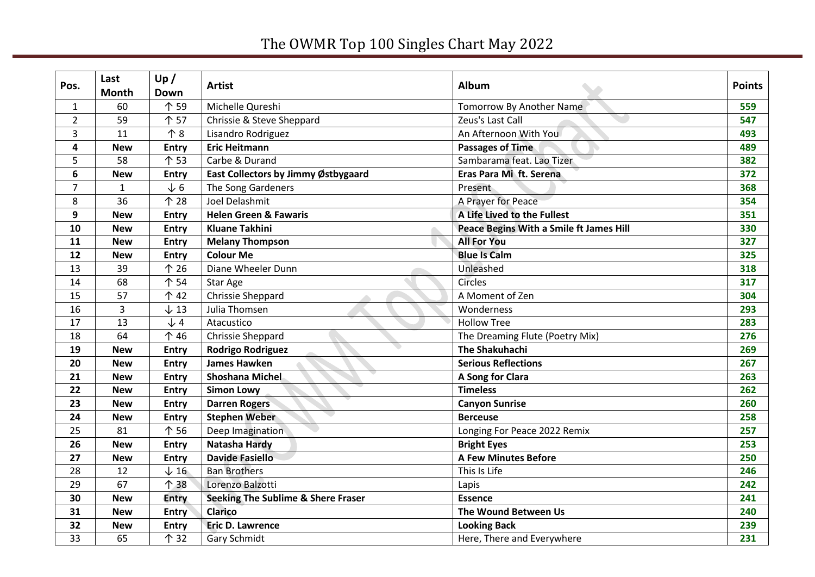## The OWMR Top 100 Singles Chart May 2022

| Pos.           | Last<br><b>Month</b> | Up/<br><b>Down</b> | <b>Artist</b>                                 | Album                                   | <b>Points</b> |
|----------------|----------------------|--------------------|-----------------------------------------------|-----------------------------------------|---------------|
| $\mathbf{1}$   | 60                   | 个 59               | Michelle Qureshi                              | <b>Tomorrow By Another Name</b>         | 559           |
| $\overline{2}$ | 59                   | 个 57               | Chrissie & Steve Sheppard                     | Zeus's Last Call                        | 547           |
| 3              | 11                   | 个8                 | Lisandro Rodriguez                            | An Afternoon With You                   | 493           |
| 4              | <b>New</b>           | <b>Entry</b>       | <b>Eric Heitmann</b>                          | <b>Passages of Time</b>                 | 489           |
| 5              | 58                   | 个 53               | Carbe & Durand                                | Sambarama feat. Lao Tizer               | 382           |
| 6              | <b>New</b>           | <b>Entry</b>       | East Collectors by Jimmy Østbygaard           | Eras Para Mi ft. Serena                 | 372           |
| $\overline{7}$ | $\mathbf{1}$         | $\sqrt{6}$         | The Song Gardeners                            | Present                                 | 368           |
| 8              | 36                   | 个 28               | Joel Delashmit                                | A Prayer for Peace                      | 354           |
| 9              | <b>New</b>           | <b>Entry</b>       | <b>Helen Green &amp; Fawaris</b>              | A Life Lived to the Fullest             | 351           |
| 10             | <b>New</b>           | <b>Entry</b>       | <b>Kluane Takhini</b>                         | Peace Begins With a Smile ft James Hill | 330           |
| 11             | <b>New</b>           | Entry              | <b>Melany Thompson</b>                        | <b>All For You</b>                      | 327           |
| 12             | <b>New</b>           | <b>Entry</b>       | <b>Colour Me</b>                              | <b>Blue Is Calm</b>                     | 325           |
| 13             | 39                   | 个 26               | Diane Wheeler Dunn                            | Unleashed                               | 318           |
| 14             | 68                   | 个 54               | Star Age                                      | <b>Circles</b>                          | 317           |
| 15             | 57                   | 个 42               | Chrissie Sheppard                             | A Moment of Zen                         | 304           |
| 16             | $\overline{3}$       | $\downarrow$ 13    | Julia Thomsen                                 | Wonderness                              | 293           |
| 17             | 13                   | $\sqrt{4}$         | Atacustico                                    | <b>Hollow Tree</b>                      | 283           |
| 18             | 64                   | 个 46               | Chrissie Sheppard                             | The Dreaming Flute (Poetry Mix)         | 276           |
| 19             | <b>New</b>           | <b>Entry</b>       | <b>Rodrigo Rodriguez</b>                      | <b>The Shakuhachi</b>                   | 269           |
| 20             | <b>New</b>           | <b>Entry</b>       | <b>James Hawken</b>                           | <b>Serious Reflections</b>              | 267           |
| 21             | <b>New</b>           | <b>Entry</b>       | Shoshana Michel                               | A Song for Clara                        | 263           |
| 22             | <b>New</b>           | <b>Entry</b>       | <b>Simon Lowy</b>                             | <b>Timeless</b>                         | 262           |
| 23             | <b>New</b>           | <b>Entry</b>       | <b>Darren Rogers</b>                          | <b>Canyon Sunrise</b>                   | 260           |
| 24             | <b>New</b>           | <b>Entry</b>       | <b>Stephen Weber</b>                          | <b>Berceuse</b>                         | 258           |
| 25             | 81                   | 个 56               | Deep Imagination                              | Longing For Peace 2022 Remix            | 257           |
| 26             | <b>New</b>           | <b>Entry</b>       | <b>Natasha Hardy</b>                          | <b>Bright Eyes</b>                      | 253           |
| 27             | <b>New</b>           | <b>Entry</b>       | <b>Davide Fasiello</b>                        | <b>A Few Minutes Before</b>             | 250           |
| 28             | 12                   | $\downarrow$ 16    | <b>Ban Brothers</b>                           | This Is Life                            | 246           |
| 29             | 67                   | 个 38               | Lorenzo Balzotti                              | Lapis                                   | 242           |
| 30             | <b>New</b>           | Entry              | <b>Seeking The Sublime &amp; Shere Fraser</b> | <b>Essence</b>                          | 241           |
| 31             | <b>New</b>           | <b>Entry</b>       | <b>Clarico</b>                                | The Wound Between Us                    | 240           |
| 32             | <b>New</b>           | <b>Entry</b>       | <b>Eric D. Lawrence</b>                       | <b>Looking Back</b>                     | 239           |
| 33             | 65                   | 个 32               | <b>Gary Schmidt</b>                           | Here, There and Everywhere              | 231           |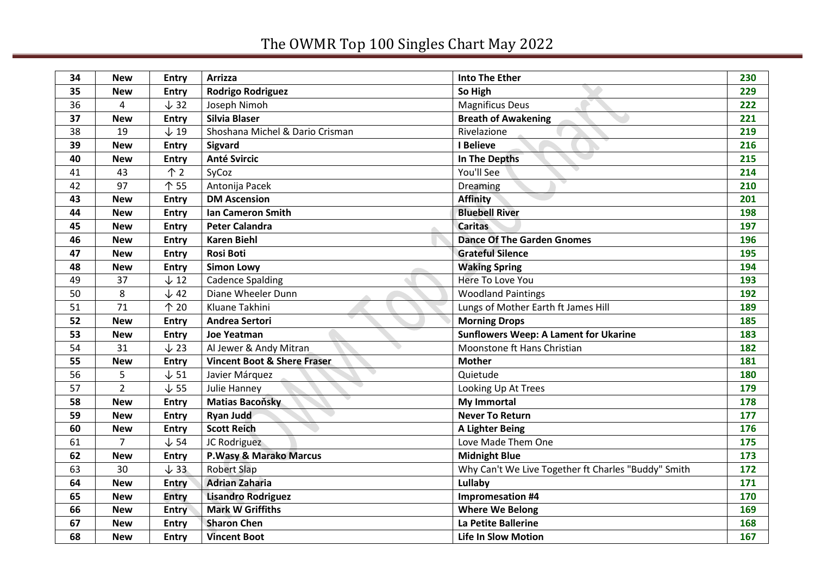## The OWMR Top 100 Singles Chart May 2022

| 34 | <b>New</b>     | <b>Entry</b>    | <b>Arrizza</b>                         | <b>Into The Ether</b>                               | 230 |
|----|----------------|-----------------|----------------------------------------|-----------------------------------------------------|-----|
| 35 | <b>New</b>     | <b>Entry</b>    | <b>Rodrigo Rodriguez</b>               | So High                                             | 229 |
| 36 | 4              | $\downarrow$ 32 | Joseph Nimoh                           | <b>Magnificus Deus</b>                              | 222 |
| 37 | <b>New</b>     | <b>Entry</b>    | Silvia Blaser                          | <b>Breath of Awakening</b>                          | 221 |
| 38 | 19             | $\downarrow$ 19 | Shoshana Michel & Dario Crisman        | Rivelazione                                         | 219 |
| 39 | <b>New</b>     | <b>Entry</b>    | Sigvard                                | I Believe                                           | 216 |
| 40 | <b>New</b>     | <b>Entry</b>    | <b>Anté Svircic</b>                    | In The Depths                                       | 215 |
| 41 | 43             | $\uparrow$ 2    | SyCoz                                  | You'll See                                          | 214 |
| 42 | 97             | 个 55            | Antonija Pacek                         | Dreaming                                            | 210 |
| 43 | <b>New</b>     | <b>Entry</b>    | <b>DM Ascension</b>                    | <b>Affinity</b>                                     | 201 |
| 44 | <b>New</b>     | <b>Entry</b>    | Ian Cameron Smith                      | <b>Bluebell River</b>                               | 198 |
| 45 | <b>New</b>     | <b>Entry</b>    | <b>Peter Calandra</b>                  | <b>Caritas</b>                                      | 197 |
| 46 | <b>New</b>     | <b>Entry</b>    | <b>Karen Biehl</b>                     | <b>Dance Of The Garden Gnomes</b>                   | 196 |
| 47 | <b>New</b>     | <b>Entry</b>    | <b>Rosi Boti</b>                       | <b>Grateful Silence</b>                             | 195 |
| 48 | <b>New</b>     | <b>Entry</b>    | <b>Simon Lowy</b>                      | <b>Waking Spring</b>                                | 194 |
| 49 | 37             | $\downarrow$ 12 | <b>Cadence Spalding</b>                | <b>Here To Love You</b>                             | 193 |
| 50 | 8              | $\downarrow$ 42 | Diane Wheeler Dunn                     | <b>Woodland Paintings</b>                           | 192 |
| 51 | 71             | 个 20            | Kluane Takhini                         | Lungs of Mother Earth ft James Hill                 | 189 |
| 52 | <b>New</b>     | <b>Entry</b>    | <b>Andrea Sertori</b>                  | <b>Morning Drops</b>                                | 185 |
| 53 | <b>New</b>     | <b>Entry</b>    | <b>Joe Yeatman</b>                     | <b>Sunflowers Weep: A Lament for Ukarine</b>        | 183 |
| 54 | 31             | $\downarrow$ 23 | Al Jewer & Andy Mitran                 | Moonstone ft Hans Christian                         | 182 |
| 55 | <b>New</b>     | <b>Entry</b>    | <b>Vincent Boot &amp; Shere Fraser</b> | <b>Mother</b>                                       | 181 |
| 56 | 5              | $\downarrow$ 51 | Javier Márquez                         | Quietude                                            | 180 |
| 57 | $\overline{2}$ | $\downarrow$ 55 | Julie Hanney                           | Looking Up At Trees                                 | 179 |
| 58 | <b>New</b>     | <b>Entry</b>    | <b>Matias Bacoňsky</b>                 | <b>My Immortal</b>                                  | 178 |
| 59 | <b>New</b>     | <b>Entry</b>    | <b>Ryan Judd</b>                       | <b>Never To Return</b>                              | 177 |
| 60 | <b>New</b>     | <b>Entry</b>    | <b>Scott Reich</b>                     | A Lighter Being                                     | 176 |
| 61 | $\overline{7}$ | $\downarrow$ 54 | JC Rodriguez                           | Love Made Them One                                  | 175 |
| 62 | <b>New</b>     | <b>Entry</b>    | P.Wasy & Marako Marcus                 | <b>Midnight Blue</b>                                | 173 |
| 63 | 30             | $\downarrow$ 33 | <b>Robert Slap</b>                     | Why Can't We Live Together ft Charles "Buddy" Smith | 172 |
| 64 | <b>New</b>     | <b>Entry</b>    | <b>Adrian Zaharia</b>                  | Lullaby                                             | 171 |
| 65 | <b>New</b>     | <b>Entry</b>    | <b>Lisandro Rodriguez</b>              | <b>Impromesation #4</b>                             | 170 |
| 66 | <b>New</b>     | <b>Entry</b>    | <b>Mark W Griffiths</b>                | <b>Where We Belong</b>                              | 169 |
| 67 | <b>New</b>     | <b>Entry</b>    | <b>Sharon Chen</b>                     | La Petite Ballerine                                 | 168 |
| 68 | <b>New</b>     | <b>Entry</b>    | <b>Vincent Boot</b>                    | <b>Life In Slow Motion</b>                          | 167 |